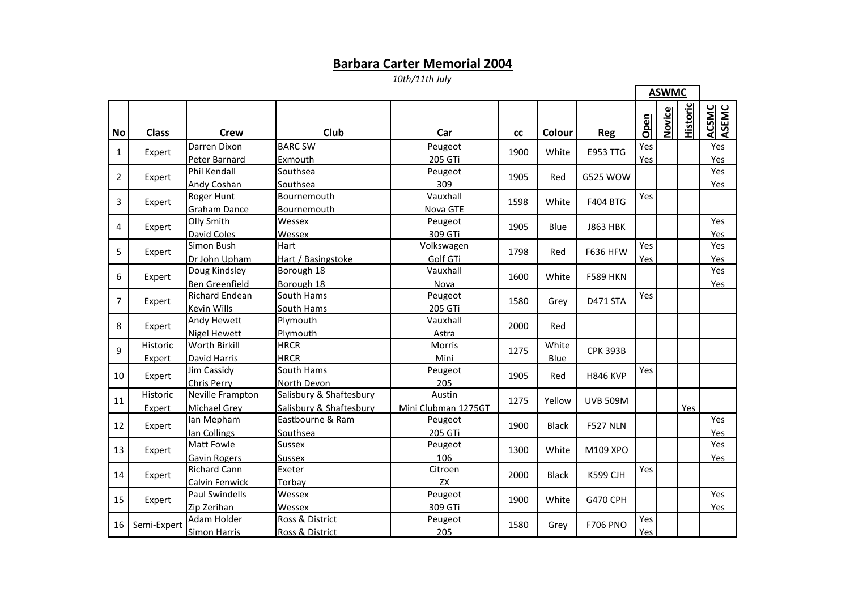## **Barbara Carter Memorial 2004**

*10th/11th July*

|                |                    |                                          |                                                    |                               |      |               |                 | <b>ASWMC</b> |        |                 |                |
|----------------|--------------------|------------------------------------------|----------------------------------------------------|-------------------------------|------|---------------|-----------------|--------------|--------|-----------------|----------------|
| $No$           | <b>Class</b>       | <b>Crew</b>                              | Club                                               | Car                           | $c$  | Colour        | <b>Reg</b>      | Open         | Novice | <b>Historic</b> | ACSMC<br>ASEMC |
| 1              | Expert             | Darren Dixon<br>Peter Barnard            | <b>BARC SW</b><br>Exmouth                          | Peugeot<br>205 GTi            | 1900 | White         | <b>E953 TTG</b> | Yes<br>Yes   |        |                 | Yes<br>Yes     |
| $\overline{2}$ | Expert             | Phil Kendall<br>Andy Coshan              | Southsea<br>Southsea                               | Peugeot<br>309                | 1905 | Red           | G525 WOW        |              |        |                 | Yes<br>Yes     |
| 3              | Expert             | <b>Roger Hunt</b><br><b>Graham Dance</b> | Bournemouth<br>Bournemouth                         | Vauxhall<br>Nova GTE          | 1598 | White         | <b>F404 BTG</b> | Yes          |        |                 |                |
| 4              | Expert             | Olly Smith<br><b>David Coles</b>         | Wessex<br>Wessex                                   | Peugeot<br>309 GTi            | 1905 | Blue          | <b>J863 HBK</b> |              |        |                 | Yes<br>Yes     |
| 5              | Expert             | Simon Bush<br>Dr John Upham              | Hart<br>Hart / Basingstoke                         | Volkswagen<br>Golf GTi        | 1798 | Red           | <b>F636 HFW</b> | Yes<br>Yes   |        |                 | Yes<br>Yes     |
| 6              | Expert             | Doug Kindsley<br>Ben Greenfield          | Borough 18<br>Borough 18                           | Vauxhall<br>Nova              | 1600 | White         | <b>F589 HKN</b> |              |        |                 | Yes<br>Yes     |
| $\overline{7}$ | Expert             | <b>Richard Endean</b><br>Kevin Wills     | South Hams<br>South Hams                           | Peugeot<br>205 GTi            | 1580 | Grey          | <b>D471 STA</b> | Yes          |        |                 |                |
| 8              | Expert             | Andy Hewett<br><b>Nigel Hewett</b>       | Plymouth<br>Plymouth                               | Vauxhall<br>Astra             | 2000 | Red           |                 |              |        |                 |                |
| 9              | Historic<br>Expert | <b>Worth Birkill</b><br>David Harris     | <b>HRCR</b><br><b>HRCR</b>                         | Morris<br>Mini                | 1275 | White<br>Blue | <b>CPK 393B</b> |              |        |                 |                |
| 10             | Expert             | Jim Cassidy<br>Chris Perry               | South Hams<br>North Devon                          | Peugeot<br>205                | 1905 | Red           | <b>H846 KVP</b> | Yes          |        |                 |                |
| 11             | Historic<br>Expert | Neville Frampton<br>Michael Grey         | Salisbury & Shaftesbury<br>Salisbury & Shaftesbury | Austin<br>Mini Clubman 1275GT | 1275 | Yellow        | <b>UVB 509M</b> |              |        | Yes             |                |
| 12             | Expert             | Ian Mepham<br>lan Collings               | Eastbourne & Ram<br>Southsea                       | Peugeot<br>205 GTi            | 1900 | <b>Black</b>  | <b>F527 NLN</b> |              |        |                 | Yes<br>Yes     |
| 13             | Expert             | <b>Matt Fowle</b><br>Gavin Rogers        | <b>Sussex</b><br><b>Sussex</b>                     | Peugeot<br>106                | 1300 | White         | M109 XPO        |              |        |                 | Yes<br>Yes     |
| 14             | Expert             | <b>Richard Cann</b><br>Calvin Fenwick    | Exeter<br>Torbay                                   | Citroen<br>ZX                 | 2000 | <b>Black</b>  | <b>K599 CJH</b> | Yes          |        |                 |                |
| 15             | Expert             | <b>Paul Swindells</b><br>Zip Zerihan     | Wessex<br>Wessex                                   | Peugeot<br>309 GTi            | 1900 | White         | G470 CPH        |              |        |                 | Yes<br>Yes     |
| 16             | Semi-Expert        | Adam Holder<br><b>Simon Harris</b>       | Ross & District<br>Ross & District                 | Peugeot<br>205                | 1580 | Grey          | <b>F706 PNO</b> | Yes<br>Yes   |        |                 |                |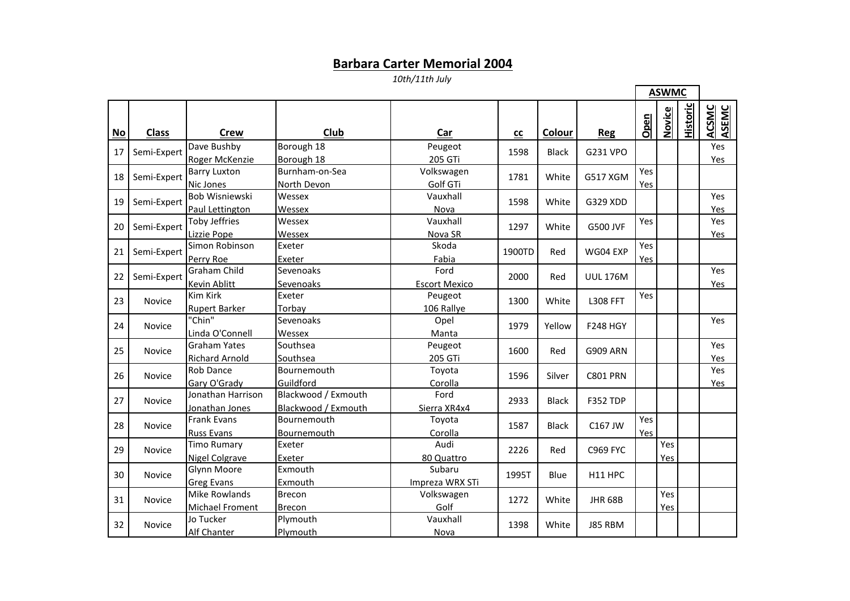## **Barbara Carter Memorial 2004**

*10th/11th July*

 $\blacksquare$ 

 $\blacksquare$ 

|           |               |                                              |                                            |                              |            |              |                 | <b>ASWMC</b> |            |                 |                |
|-----------|---------------|----------------------------------------------|--------------------------------------------|------------------------------|------------|--------------|-----------------|--------------|------------|-----------------|----------------|
| <b>No</b> | <b>Class</b>  | Crew                                         | Club                                       | Car                          | ${\rm cc}$ | Colour       | <b>Reg</b>      | Open         | Novice     | <b>Historic</b> | ACSMC<br>ASEMC |
| 17        | Semi-Expert   | Dave Bushby<br>Roger McKenzie                | Borough 18<br>Borough 18                   | Peugeot<br>205 GTi           | 1598       | <b>Black</b> | G231 VPO        |              |            |                 | Yes<br>Yes     |
| 18        | Semi-Expert   | <b>Barry Luxton</b><br>Nic Jones             | Burnham-on-Sea<br>North Devon              | Volkswagen<br>Golf GTi       | 1781       | White        | G517 XGM        | Yes<br>Yes   |            |                 |                |
| 19        | Semi-Expert   | Bob Wisniewski<br>Paul Lettington            | Wessex<br>Wessex                           | Vauxhall<br>Nova             | 1598       | White        | G329 XDD        |              |            |                 | Yes<br>Yes     |
| 20        | Semi-Expert   | <b>Toby Jeffries</b><br>Lizzie Pope          | Wessex<br>Wessex                           | Vauxhall<br>Nova SR          | 1297       | White        | <b>G500 JVF</b> | Yes          |            |                 | Yes<br>Yes     |
| 21        | Semi-Expert   | Simon Robinson<br>Perry Roe                  | Exeter<br>Exeter                           | Skoda<br>Fabia               | 1900TD     | Red          | WG04 EXP        | Yes<br>Yes   |            |                 |                |
| 22        | Semi-Expert   | <b>Graham Child</b><br>Kevin Ablitt          | Sevenoaks<br>Sevenoaks                     | Ford<br><b>Escort Mexico</b> | 2000       | Red          | <b>UUL 176M</b> |              |            |                 | Yes<br>Yes     |
| 23        | <b>Novice</b> | <b>Kim Kirk</b><br><b>Rupert Barker</b>      | Exeter<br>Torbay                           | Peugeot<br>106 Rallye        | 1300       | White        | <b>L308 FFT</b> | Yes          |            |                 |                |
| 24        | Novice        | "Chin"<br>Linda O'Connell                    | Sevenoaks<br>Wessex                        | Opel<br>Manta                | 1979       | Yellow       | <b>F248 HGY</b> |              |            |                 | Yes            |
| 25        | Novice        | <b>Graham Yates</b><br><b>Richard Arnold</b> | Southsea<br>Southsea                       | Peugeot<br>205 GTi           | 1600       | Red          | <b>G909 ARN</b> |              |            |                 | Yes<br>Yes     |
| 26        | Novice        | <b>Rob Dance</b><br>Gary O'Grady             | Bournemouth<br>Guildford                   | Toyota<br>Corolla            | 1596       | Silver       | <b>C801 PRN</b> |              |            |                 | Yes<br>Yes     |
| 27        | Novice        | Jonathan Harrison<br>Jonathan Jones          | Blackwood / Exmouth<br>Blackwood / Exmouth | Ford<br>Sierra XR4x4         | 2933       | <b>Black</b> | <b>F352 TDP</b> |              |            |                 |                |
| 28        | Novice        | <b>Frank Evans</b><br><b>Russ Evans</b>      | Bournemouth<br>Bournemouth                 | Toyota<br>Corolla            | 1587       | <b>Black</b> | C167 JW         | Yes<br>Yes   |            |                 |                |
| 29        | Novice        | <b>Timo Rumary</b><br><b>Nigel Colgrave</b>  | Exeter<br>Exeter                           | Audi<br>80 Quattro           | 2226       | Red          | <b>C969 FYC</b> |              | Yes<br>Yes |                 |                |
| 30        | Novice        | Glynn Moore<br><b>Greg Evans</b>             | Exmouth<br>Exmouth                         | Subaru<br>Impreza WRX STi    | 1995T      | Blue         | H11 HPC         |              |            |                 |                |
| 31        | Novice        | Mike Rowlands<br>Michael Froment             | <b>Brecon</b><br><b>Brecon</b>             | Volkswagen<br>Golf           | 1272       | White        | <b>JHR 68B</b>  |              | Yes<br>Yes |                 |                |
| 32        | <b>Novice</b> | Jo Tucker<br>Alf Chanter                     | Plymouth<br>Plymouth                       | Vauxhall<br>Nova             | 1398       | White        | J85 RBM         |              |            |                 |                |